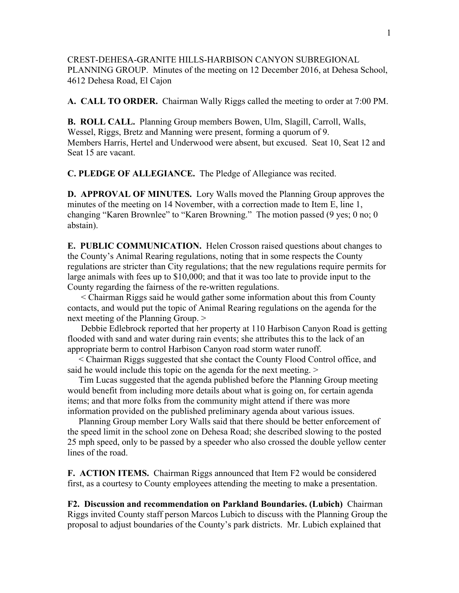CREST-DEHESA-GRANITE HILLS-HARBISON CANYON SUBREGIONAL PLANNING GROUP. Minutes of the meeting on 12 December 2016, at Dehesa School, 4612 Dehesa Road, El Cajon

**A. CALL TO ORDER.** Chairman Wally Riggs called the meeting to order at 7:00 PM.

**B. ROLL CALL.** Planning Group members Bowen, Ulm, Slagill, Carroll, Walls, Wessel, Riggs, Bretz and Manning were present, forming a quorum of 9. Members Harris, Hertel and Underwood were absent, but excused. Seat 10, Seat 12 and Seat 15 are vacant.

**C. PLEDGE OF ALLEGIANCE.** The Pledge of Allegiance was recited.

**D. APPROVAL OF MINUTES.** Lory Walls moved the Planning Group approves the minutes of the meeting on 14 November, with a correction made to Item E, line 1, changing "Karen Brownlee" to "Karen Browning." The motion passed (9 yes; 0 no; 0 abstain).

**E. PUBLIC COMMUNICATION.** Helen Crosson raised questions about changes to the County's Animal Rearing regulations, noting that in some respects the County regulations are stricter than City regulations; that the new regulations require permits for large animals with fees up to \$10,000; and that it was too late to provide input to the County regarding the fairness of the re-written regulations.

 < Chairman Riggs said he would gather some information about this from County contacts, and would put the topic of Animal Rearing regulations on the agenda for the next meeting of the Planning Group. >

 Debbie Edlebrock reported that her property at 110 Harbison Canyon Road is getting flooded with sand and water during rain events; she attributes this to the lack of an appropriate berm to control Harbison Canyon road storm water runoff.

 < Chairman Riggs suggested that she contact the County Flood Control office, and said he would include this topic on the agenda for the next meeting.  $>$ 

 Tim Lucas suggested that the agenda published before the Planning Group meeting would benefit from including more details about what is going on, for certain agenda items; and that more folks from the community might attend if there was more information provided on the published preliminary agenda about various issues.

 Planning Group member Lory Walls said that there should be better enforcement of the speed limit in the school zone on Dehesa Road; she described slowing to the posted 25 mph speed, only to be passed by a speeder who also crossed the double yellow center lines of the road.

**F. ACTION ITEMS.** Chairman Riggs announced that Item F2 would be considered first, as a courtesy to County employees attending the meeting to make a presentation.

**F2. Discussion and recommendation on Parkland Boundaries. (Lubich)** Chairman Riggs invited County staff person Marcos Lubich to discuss with the Planning Group the proposal to adjust boundaries of the County's park districts. Mr. Lubich explained that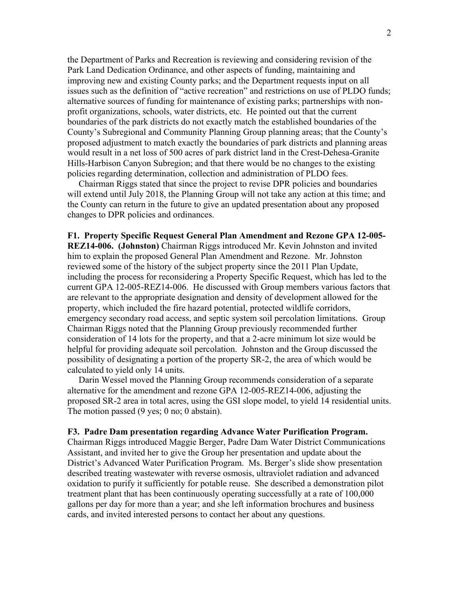the Department of Parks and Recreation is reviewing and considering revision of the Park Land Dedication Ordinance, and other aspects of funding, maintaining and improving new and existing County parks; and the Department requests input on all issues such as the definition of "active recreation" and restrictions on use of PLDO funds; alternative sources of funding for maintenance of existing parks; partnerships with nonprofit organizations, schools, water districts, etc. He pointed out that the current boundaries of the park districts do not exactly match the established boundaries of the County's Subregional and Community Planning Group planning areas; that the County's proposed adjustment to match exactly the boundaries of park districts and planning areas would result in a net loss of 500 acres of park district land in the Crest-Dehesa-Granite Hills-Harbison Canyon Subregion; and that there would be no changes to the existing policies regarding determination, collection and administration of PLDO fees.

 Chairman Riggs stated that since the project to revise DPR policies and boundaries will extend until July 2018, the Planning Group will not take any action at this time; and the County can return in the future to give an updated presentation about any proposed changes to DPR policies and ordinances.

## **F1. Property Specific Request General Plan Amendment and Rezone GPA 12-005-**

**REZ14-006. (Johnston)** Chairman Riggs introduced Mr. Kevin Johnston and invited him to explain the proposed General Plan Amendment and Rezone. Mr. Johnston reviewed some of the history of the subject property since the 2011 Plan Update, including the process for reconsidering a Property Specific Request, which has led to the current GPA 12-005-REZ14-006. He discussed with Group members various factors that are relevant to the appropriate designation and density of development allowed for the property, which included the fire hazard potential, protected wildlife corridors, emergency secondary road access, and septic system soil percolation limitations. Group Chairman Riggs noted that the Planning Group previously recommended further consideration of 14 lots for the property, and that a 2-acre minimum lot size would be helpful for providing adequate soil percolation. Johnston and the Group discussed the possibility of designating a portion of the property SR-2, the area of which would be calculated to yield only 14 units.

 Darin Wessel moved the Planning Group recommends consideration of a separate alternative for the amendment and rezone GPA 12-005-REZ14-006, adjusting the proposed SR-2 area in total acres, using the GSI slope model, to yield 14 residential units. The motion passed (9 yes; 0 no; 0 abstain).

## **F3. Padre Dam presentation regarding Advance Water Purification Program.**

Chairman Riggs introduced Maggie Berger, Padre Dam Water District Communications Assistant, and invited her to give the Group her presentation and update about the District's Advanced Water Purification Program. Ms. Berger's slide show presentation described treating wastewater with reverse osmosis, ultraviolet radiation and advanced oxidation to purify it sufficiently for potable reuse. She described a demonstration pilot treatment plant that has been continuously operating successfully at a rate of 100,000 gallons per day for more than a year; and she left information brochures and business cards, and invited interested persons to contact her about any questions.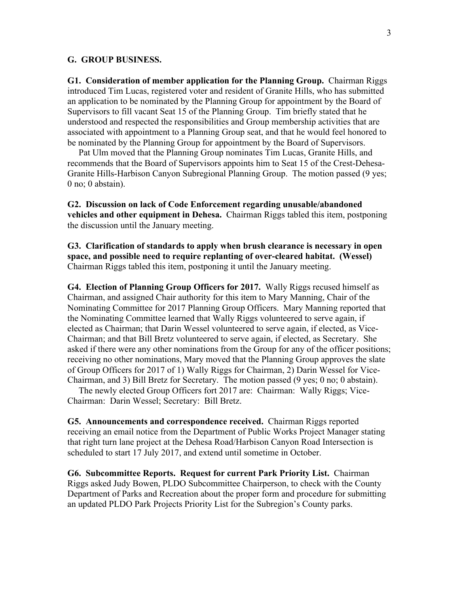## **G. GROUP BUSINESS.**

**G1. Consideration of member application for the Planning Group.** Chairman Riggs introduced Tim Lucas, registered voter and resident of Granite Hills, who has submitted an application to be nominated by the Planning Group for appointment by the Board of Supervisors to fill vacant Seat 15 of the Planning Group. Tim briefly stated that he understood and respected the responsibilities and Group membership activities that are associated with appointment to a Planning Group seat, and that he would feel honored to be nominated by the Planning Group for appointment by the Board of Supervisors.

 Pat Ulm moved that the Planning Group nominates Tim Lucas, Granite Hills, and recommends that the Board of Supervisors appoints him to Seat 15 of the Crest-Dehesa-Granite Hills-Harbison Canyon Subregional Planning Group. The motion passed (9 yes; 0 no; 0 abstain).

**G2. Discussion on lack of Code Enforcement regarding unusable/abandoned vehicles and other equipment in Dehesa.** Chairman Riggs tabled this item, postponing the discussion until the January meeting.

**G3. Clarification of standards to apply when brush clearance is necessary in open space, and possible need to require replanting of over-cleared habitat. (Wessel)** Chairman Riggs tabled this item, postponing it until the January meeting.

**G4. Election of Planning Group Officers for 2017.** Wally Riggs recused himself as Chairman, and assigned Chair authority for this item to Mary Manning, Chair of the Nominating Committee for 2017 Planning Group Officers. Mary Manning reported that the Nominating Committee learned that Wally Riggs volunteered to serve again, if elected as Chairman; that Darin Wessel volunteered to serve again, if elected, as Vice-Chairman; and that Bill Bretz volunteered to serve again, if elected, as Secretary. She asked if there were any other nominations from the Group for any of the officer positions; receiving no other nominations, Mary moved that the Planning Group approves the slate of Group Officers for 2017 of 1) Wally Riggs for Chairman, 2) Darin Wessel for Vice-Chairman, and 3) Bill Bretz for Secretary. The motion passed (9 yes; 0 no; 0 abstain).

 The newly elected Group Officers fort 2017 are: Chairman: Wally Riggs; Vice-Chairman: Darin Wessel; Secretary: Bill Bretz.

**G5. Announcements and correspondence received.** Chairman Riggs reported receiving an email notice from the Department of Public Works Project Manager stating that right turn lane project at the Dehesa Road/Harbison Canyon Road Intersection is scheduled to start 17 July 2017, and extend until sometime in October.

**G6. Subcommittee Reports. Request for current Park Priority List.** Chairman Riggs asked Judy Bowen, PLDO Subcommittee Chairperson, to check with the County Department of Parks and Recreation about the proper form and procedure for submitting an updated PLDO Park Projects Priority List for the Subregion's County parks.